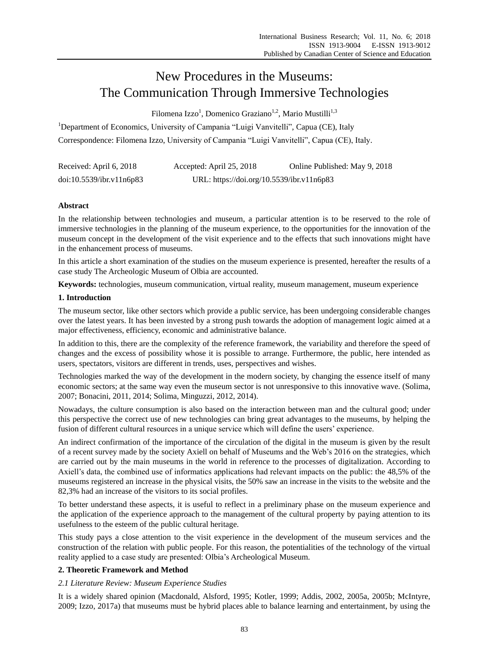# New Procedures in the Museums: The Communication Through Immersive Technologies

Filomena Izzo<sup>1</sup>, Domenico Graziano<sup>1,2</sup>, Mario Mustilli<sup>1,3</sup>

<sup>1</sup>Department of Economics, University of Campania "Luigi Vanvitelli", Capua (CE), Italy Correspondence: Filomena Izzo, University of Campania "Luigi Vanvitelli", Capua (CE), Italy.

| Received: April 6, 2018  | Accepted: April 25, 2018                  | Online Published: May 9, 2018 |
|--------------------------|-------------------------------------------|-------------------------------|
| doi:10.5539/ibr.v11n6p83 | URL: https://doi.org/10.5539/ibr.v11n6p83 |                               |

# **Abstract**

In the relationship between technologies and museum, a particular attention is to be reserved to the role of immersive technologies in the planning of the museum experience, to the opportunities for the innovation of the museum concept in the development of the visit experience and to the effects that such innovations might have in the enhancement process of museums.

In this article a short examination of the studies on the museum experience is presented, hereafter the results of a case study The Archeologic Museum of Olbia are accounted.

**Keywords:** technologies, museum communication, virtual reality, museum management, museum experience

## **1. Introduction**

The museum sector, like other sectors which provide a public service, has been undergoing considerable changes over the latest years. It has been invested by a strong push towards the adoption of management logic aimed at a major effectiveness, efficiency, economic and administrative balance.

In addition to this, there are the complexity of the reference framework, the variability and therefore the speed of changes and the excess of possibility whose it is possible to arrange. Furthermore, the public, here intended as users, spectators, visitors are different in trends, uses, perspectives and wishes.

Technologies marked the way of the development in the modern society, by changing the essence itself of many economic sectors; at the same way even the museum sector is not unresponsive to this innovative wave. (Solima, 2007; Bonacini, 2011, 2014; Solima, Minguzzi, 2012, 2014).

Nowadays, the culture consumption is also based on the interaction between man and the cultural good; under this perspective the correct use of new technologies can bring great advantages to the museums, by helping the fusion of different cultural resources in a unique service which will define the users' experience.

An indirect confirmation of the importance of the circulation of the digital in the museum is given by the result of a recent survey made by the society Axiell on behalf of Museums and the Web's 2016 on the strategies, which are carried out by the main museums in the world in reference to the processes of digitalization. According to Axiell's data, the combined use of informatics applications had relevant impacts on the public: the 48,5% of the museums registered an increase in the physical visits, the 50% saw an increase in the visits to the website and the 82,3% had an increase of the visitors to its social profiles.

To better understand these aspects, it is useful to reflect in a preliminary phase on the museum experience and the application of the experience approach to the management of the cultural property by paying attention to its usefulness to the esteem of the public cultural heritage.

This study pays a close attention to the visit experience in the development of the museum services and the construction of the relation with public people. For this reason, the potentialities of the technology of the virtual reality applied to a case study are presented: Olbia's Archeological Museum.

## **2. Theoretic Framework and Method**

## *2.1 Literature Review: Museum Experience Studies*

It is a widely shared opinion (Macdonald, Alsford, 1995; Kotler, 1999; Addis, 2002, 2005a, 2005b; McIntyre, 2009; Izzo, 2017a) that museums must be hybrid places able to balance learning and entertainment, by using the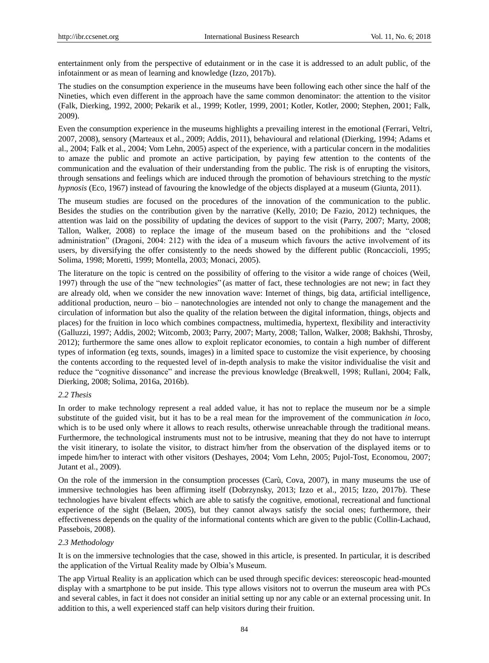entertainment only from the perspective of edutainment or in the case it is addressed to an adult public, of the infotainment or as mean of learning and knowledge (Izzo, 2017b).

The studies on the consumption experience in the museums have been following each other since the half of the Nineties, which even different in the approach have the same common denominator: the attention to the visitor (Falk, Dierking, 1992, 2000; Pekarik et al., 1999; Kotler, 1999, 2001; Kotler, Kotler, 2000; Stephen, 2001; Falk, 2009).

Even the consumption experience in the museums highlights a prevailing interest in the emotional (Ferrari, Veltri, 2007, 2008), sensory (Marteaux et al., 2009; Addis, 2011), behavioural and relational (Dierking, 1994; Adams et al., 2004; Falk et al., 2004; Vom Lehn, 2005) aspect of the experience, with a particular concern in the modalities to amaze the public and promote an active participation, by paying few attention to the contents of the communication and the evaluation of their understanding from the public. The risk is of enrupting the visitors, through sensations and feelings which are induced through the promotion of behaviours stretching to the *mystic hypnosis* (Eco, 1967) instead of favouring the knowledge of the objects displayed at a museum (Giunta, 2011).

The museum studies are focused on the procedures of the innovation of the communication to the public. Besides the studies on the contribution given by the narrative (Kelly, 2010; De Fazio, 2012) techniques, the attention was laid on the possibility of updating the devices of support to the visit (Parry, 2007; Marty, 2008; Tallon, Walker, 2008) to replace the image of the museum based on the prohibitions and the "closed administration" (Dragoni, 2004: 212) with the idea of a museum which favours the active involvement of its users, by diversifying the offer consistently to the needs showed by the different public (Roncaccioli, 1995; Solima, 1998; Moretti, 1999; Montella, 2003; Monaci, 2005).

The literature on the topic is centred on the possibility of offering to the visitor a wide range of choices (Weil, 1997) through the use of the "new technologies" (as matter of fact, these technologies are not new; in fact they are already old, when we consider the new innovation wave: Internet of things, big data, artificial intelligence, additional production, neuro – bio – nanotechnologies are intended not only to change the management and the circulation of information but also the quality of the relation between the digital information, things, objects and places) for the fruition in loco which combines compactness, multimedia, hypertext, flexibility and interactivity (Galluzzi, 1997; Addis, 2002; Witcomb, 2003; Parry, 2007; Marty, 2008; Tallon, Walker, 2008; Bakhshi, Throsby, 2012); furthermore the same ones allow to exploit replicator economies, to contain a high number of different types of information (eg texts, sounds, images) in a limited space to customize the visit experience, by choosing the contents according to the requested level of in-depth analysis to make the visitor individualise the visit and reduce the "cognitive dissonance" and increase the previous knowledge (Breakwell, 1998; Rullani, 2004; Falk, Dierking, 2008; Solima, 2016a, 2016b).

#### *2.2 Thesis*

In order to make technology represent a real added value, it has not to replace the museum nor be a simple substitute of the guided visit, but it has to be a real mean for the improvement of the communication *in loco*, which is to be used only where it allows to reach results, otherwise unreachable through the traditional means. Furthermore, the technological instruments must not to be intrusive, meaning that they do not have to interrupt the visit itinerary, to isolate the visitor, to distract him/her from the observation of the displayed items or to impede him/her to interact with other visitors (Deshayes, 2004; Vom Lehn, 2005; Pujol-Tost, Economou, 2007; Jutant et al., 2009).

On the role of the immersion in the consumption processes (Carù, Cova, 2007), in many museums the use of immersive technologies has been affirming itself (Dobrzynsky, 2013; Izzo et al., 2015; Izzo, 2017b). These technologies have bivalent effects which are able to satisfy the cognitive, emotional, recreational and functional experience of the sight (Belaen, 2005), but they cannot always satisfy the social ones; furthermore, their effectiveness depends on the quality of the informational contents which are given to the public (Collin-Lachaud, Passebois, 2008).

### *2.3 Methodology*

It is on the immersive technologies that the case, showed in this article, is presented. In particular, it is described the application of the Virtual Reality made by Olbia's Museum.

The app Virtual Reality is an application which can be used through specific devices: stereoscopic head-mounted display with a smartphone to be put inside. This type allows visitors not to overrun the museum area with PCs and several cables, in fact it does not consider an initial setting up nor any cable or an external processing unit. In addition to this, a well experienced staff can help visitors during their fruition.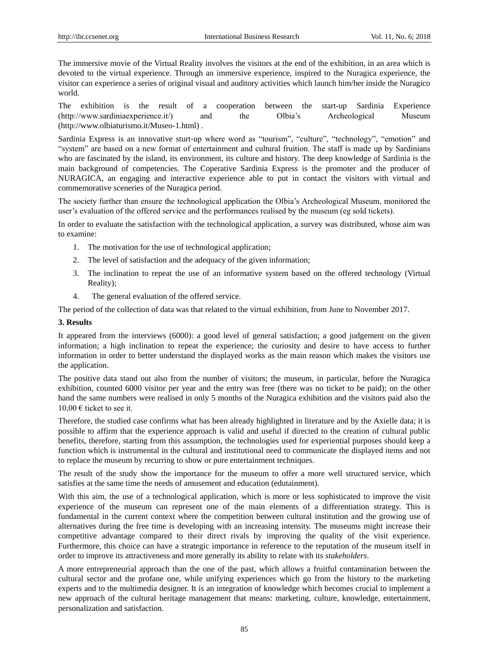The immersive movie of the Virtual Reality involves the visitors at the end of the exhibition, in an area which is devoted to the virtual experience. Through an immersive experience, inspired to the Nuragica experience, the visitor can experience a series of original visual and auditory activities which launch him/her inside the Nuragico world.

The exhibition is the result of a cooperation between the start-up Sardinia Experience (http://www.sardiniaexperience.it/) and the Olbia's Archeological Museum (http://www.olbiaturismo.it/Museo-1.html) .

Sardinia Express is an innovative sturt-up where word as "tourism", "culture", "technology", "emotion" and "system" are based on a new format of entertainment and cultural fruition. The staff is made up by Sardinians who are fascinated by the island, its environment, its culture and history. The deep knowledge of Sardinia is the main background of competencies. The Coperative Sardinia Express is the promoter and the producer of NURAGICA, an engaging and interactive experience able to put in contact the visitors with virtual and commemorative sceneries of the Nuragica period.

The society further than ensure the technological application the Olbia's Archeological Museum, monitored the user's evaluation of the offered service and the performances realised by the museum (eg sold tickets).

In order to evaluate the satisfaction with the technological application, a survey was distributed, whose aim was to examine:

- 1. The motivation for the use of technological application;
- 2. The level of satisfaction and the adequacy of the given information;
- 3. The inclination to repeat the use of an informative system based on the offered technology (Virtual Reality);
- 4. The general evaluation of the offered service.

The period of the collection of data was that related to the virtual exhibition, from June to November 2017.

### **3. Results**

It appeared from the interviews (6000): a good level of general satisfaction; a good judgement on the given information; a high inclination to repeat the experience; the curiosity and desire to have access to further information in order to better understand the displayed works as the main reason which makes the visitors use the application.

The positive data stand out also from the number of visitors; the museum, in particular, before the Nuragica exhibition, counted 6000 visitor per year and the entry was free (there was no ticket to be paid); on the other hand the same numbers were realised in only 5 months of the Nuragica exhibition and the visitors paid also the  $10,00 \in \text{ticket}$  to see it.

Therefore, the studied case confirms what has been already highlighted in literature and by the Axielle data; it is possible to affirm that the experience approach is valid and useful if directed to the creation of cultural public benefits, therefore, starting from this assumption, the technologies used for experiential purposes should keep a function which is instrumental in the cultural and institutional need to communicate the displayed items and not to replace the museum by recurring to show or pure entertainment techniques.

The result of the study show the importance for the museum to offer a more well structured service, which satisfies at the same time the needs of amusement and education (edutainment).

With this aim, the use of a technological application, which is more or less sophisticated to improve the visit experience of the museum can represent one of the main elements of a differentiation strategy. This is fundamental in the current context where the competition between cultural institution and the growing use of alternatives during the free time is developing with an increasing intensity. The museums might increase their competitive advantage compared to their direct rivals by improving the quality of the visit experience. Furthermore, this choice can have a strategic importance in reference to the reputation of the museum itself in order to improve its attractiveness and more generally its ability to relate with its *stakeholders*.

A more entrepreneurial approach than the one of the past, which allows a fruitful contamination between the cultural sector and the profane one, while unifying experiences which go from the history to the marketing experts and to the multimedia designer. It is an integration of knowledge which becomes crucial to implement a new approach of the cultural heritage management that means: marketing, culture, knowledge, entertainment, personalization and satisfaction.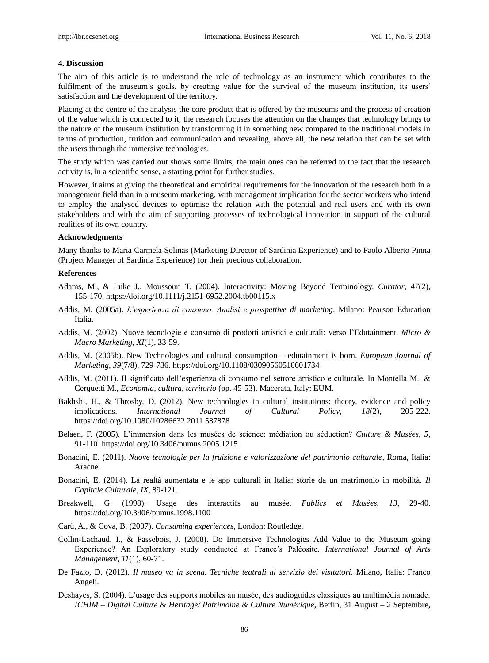#### **4. Discussion**

The aim of this article is to understand the role of technology as an instrument which contributes to the fulfilment of the museum's goals, by creating value for the survival of the museum institution, its users' satisfaction and the development of the territory.

Placing at the centre of the analysis the core product that is offered by the museums and the process of creation of the value which is connected to it; the research focuses the attention on the changes that technology brings to the nature of the museum institution by transforming it in something new compared to the traditional models in terms of production, fruition and communication and revealing, above all, the new relation that can be set with the users through the immersive technologies.

The study which was carried out shows some limits, the main ones can be referred to the fact that the research activity is, in a scientific sense, a starting point for further studies.

However, it aims at giving the theoretical and empirical requirements for the innovation of the research both in a management field than in a museum marketing, with management implication for the sector workers who intend to employ the analysed devices to optimise the relation with the potential and real users and with its own stakeholders and with the aim of supporting processes of technological innovation in support of the cultural realities of its own country.

## **Acknowledgments**

Many thanks to Maria Carmela Solinas (Marketing Director of Sardinia Experience) and to Paolo Alberto Pinna (Project Manager of Sardinia Experience) for their precious collaboration.

#### **References**

- Adams, M., & Luke J., Moussouri T. (2004). Interactivity: Moving Beyond Terminology. *Curator*, *47*(2), 155-170.<https://doi.org/10.1111/j.2151-6952.2004.tb00115.x>
- Addis, M. (2005a). *L'esperienza di consumo. Analisi e prospettive di marketing*. Milano: Pearson Education Italia.
- Addis, M. (2002). Nuove tecnologie e consumo di prodotti artistici e culturali: verso l'Edutainment. *Micro & Macro Marketing*, *XI*(1), 33-59.
- Addis, M. (2005b). New Technologies and cultural consumption edutainment is born. *European Journal of Marketing*, *39*(7/8), 729-736.<https://doi.org/10.1108/03090560510601734>
- Addis, M. (2011). Il significato dell'esperienza di consumo nel settore artistico e culturale. In Montella M., & Cerquetti M., *Economia, cultura, territorio* (pp. 45-53). Macerata, Italy: EUM.
- Bakhshi, H., & Throsby, D. (2012). New technologies in cultural institutions: theory, evidence and policy implications. *International Journal of Cultural Policy*, *18*(2), 205-222. <https://doi.org/10.1080/10286632.2011.587878>
- Belaen, F. (2005). L'immersion dans les musées de science: médiation ou séduction? *Culture & Musées*, *5,*  91-110.<https://doi.org/10.3406/pumus.2005.1215>
- Bonacini, E. (2011). *Nuove tecnologie per la fruizione e valorizzazione del patrimonio culturale*, Roma, Italia: Aracne.
- Bonacini, E. (2014). La realtà aumentata e le app culturali in Italia: storie da un matrimonio in mobilità. *Il Capitale Culturale*, *IX,* 89-121.
- Breakwell, G. (1998). Usage des interactifs au musée. *Publics et Musées*, *13,* 29-40. <https://doi.org/10.3406/pumus.1998.1100>
- Carù, A., & Cova, B. (2007). *Consuming experiences*, London: Routledge.
- Collin-Lachaud, I., & Passebois, J. (2008). Do Immersive Technologies Add Value to the Museum going Experience? An Exploratory study conducted at France's Paléosite. *International Journal of Arts Management*, *11*(1), 60-71.
- De Fazio, D. (2012). *Il museo va in scena. Tecniche teatrali al servizio dei visitatori*. Milano, Italia: Franco Angeli.
- Deshayes, S. (2004). L'usage des supports mobiles au musée, des audioguides classiques au multimédia nomade. *ICHIM – Digital Culture & Heritage/ Patrimoine & Culture Numérique*, Berlin, 31 August – 2 Septembre,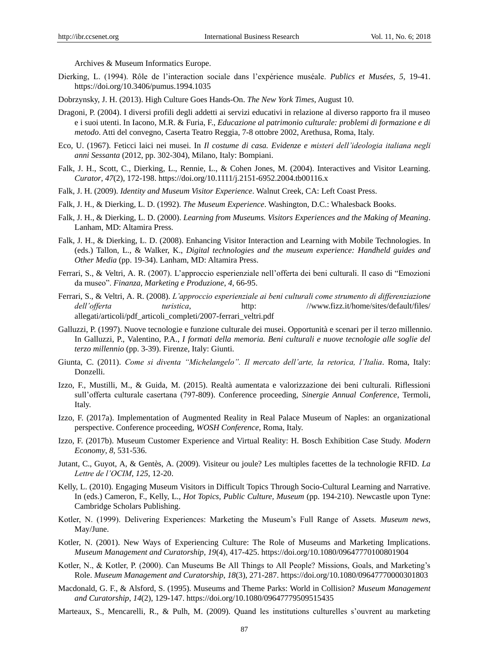Archives & Museum Informatics Europe.

- Dierking, L. (1994). Rôle de l'interaction sociale dans l'expérience muséale. *Publics et Musées*, *5,* 19-41. <https://doi.org/10.3406/pumus.1994.1035>
- Dobrzynsky, J. H. (2013). High Culture Goes Hands-On. *The New York Times*, August 10.
- Dragoni, P. (2004). I diversi profili degli addetti ai servizi educativi in relazione al diverso rapporto fra il museo e i suoi utenti. In Iacono, M.R. & Furia, F., *Educazione al patrimonio culturale: problemi di formazione e di metodo*. Atti del convegno, Caserta Teatro Reggia, 7-8 ottobre 2002, Arethusa, Roma, Italy.
- Eco, U. (1967). Feticci laici nei musei. In *Il costume di casa. Evidenze e misteri dell'ideologia italiana negli anni Sessanta* (2012, pp. 302-304), Milano, Italy: Bompiani.
- Falk, J. H., Scott, C., Dierking, L., Rennie, L., & Cohen Jones, M. (2004). Interactives and Visitor Learning. *Curator*, *47*(2), 172-198.<https://doi.org/10.1111/j.2151-6952.2004.tb00116.x>
- Falk, J. H. (2009). *Identity and Museum Visitor Experience*. Walnut Creek, CA: Left Coast Press.
- Falk, J. H., & Dierking, L. D. (1992). *The Museum Experience*. Washington, D.C.: Whalesback Books.
- Falk, J. H., & Dierking, L. D. (2000). *Learning from Museums. Visitors Experiences and the Making of Meaning*. Lanham, MD: Altamira Press.
- Falk, J. H., & Dierking, L. D. (2008). Enhancing Visitor Interaction and Learning with Mobile Technologies. In (eds.) Tallon, L., & Walker, K., *Digital technologies and the museum experience: Handheld guides and Other Media* (pp. 19-34). Lanham, MD: Altamira Press.
- Ferrari, S., & Veltri, A. R. (2007). L'approccio esperienziale nell'offerta dei beni culturali. Il caso di "Emozioni da museo". *Finanza, Marketing e Produzione*, *4,* 66-95.
- Ferrari, S., & Veltri, A. R. (2008). *L'approccio esperienziale ai beni culturali come strumento di differenziazione dell'offerta turistica*, http: //www.fizz.it/home/sites/default/files/ allegati/articoli/pdf\_articoli\_completi/2007-ferrari\_veltri.pdf
- Galluzzi, P. (1997). Nuove tecnologie e funzione culturale dei musei. Opportunità e scenari per il terzo millennio. In Galluzzi, P., Valentino, P.A., *I formati della memoria. Beni culturali e nuove tecnologie alle soglie del terzo millennio* (pp. 3-39). Firenze, Italy: Giunti.
- Giunta, C. (2011). *Come si diventa "Michelangelo". Il mercato dell'arte, la retorica, l'Italia*. Roma, Italy: Donzelli.
- Izzo, F., Mustilli, M., & Guida, M. (2015). Realtà aumentata e valorizzazione dei beni culturali. Riflessioni sull'offerta culturale casertana (797-809). Conference proceeding, *Sinergie Annual Conference*, Termoli, Italy.
- Izzo, F. (2017a). Implementation of Augmented Reality in Real Palace Museum of Naples: an organizational perspective. Conference proceeding, *WOSH Conference*, Roma, Italy.
- Izzo, F. (2017b). Museum Customer Experience and Virtual Reality: H. Bosch Exhibition Case Study. *Modern Economy*, *8,* 531-536.
- Jutant, C., Guyot, A, & Gentès, A. (2009). Visiteur ou joule? Les multiples facettes de la technologie RFID. *La Lettre de l'OCIM*, *125*, 12-20.
- Kelly, L. (2010). Engaging Museum Visitors in Difficult Topics Through Socio-Cultural Learning and Narrative. In (eds.) Cameron, F., Kelly, L., *Hot Topics, Public Culture, Museum* (pp. 194-210). Newcastle upon Tyne: Cambridge Scholars Publishing.
- Kotler, N. (1999). Delivering Experiences: Marketing the Museum's Full Range of Assets. *Museum news*, May/June.
- Kotler, N. (2001). New Ways of Experiencing Culture: The Role of Museums and Marketing Implications. *Museum Management and Curatorship*, *19*(4), 417-425.<https://doi.org/10.1080/09647770100801904>
- Kotler, N., & Kotler, P. (2000). Can Museums Be All Things to All People? Missions, Goals, and Marketing's Role. *Museum Management and Curatorship*, *18*(3), 271-287.<https://doi.org/10.1080/09647770000301803>
- Macdonald, G. F., & Alsford, S. (1995). Museums and Theme Parks: World in Collision? *Museum Management and Curatorship*, *14*(2), 129-147.<https://doi.org/10.1080/09647779509515435>
- Marteaux, S., Mencarelli, R., & Pulh, M. (2009). Quand les institutions culturelles s'ouvrent au marketing